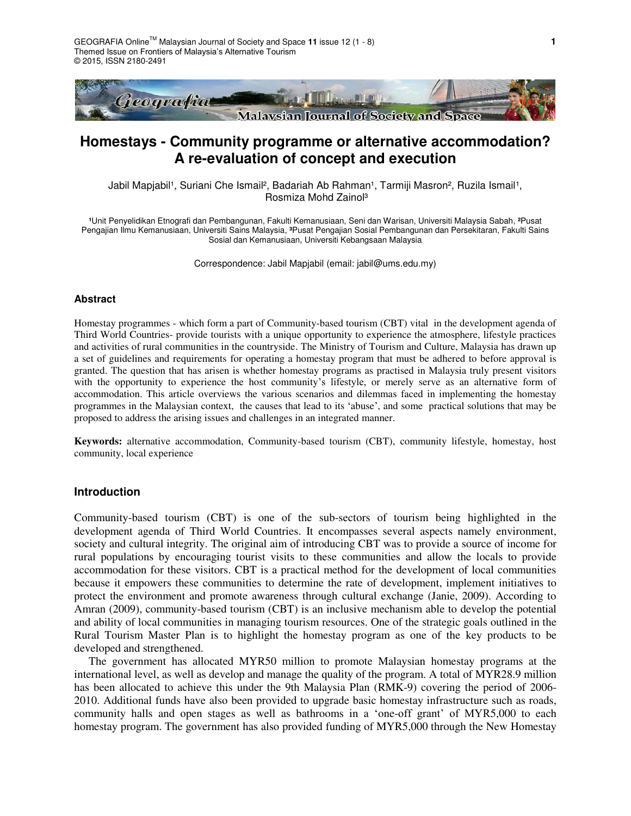

# **Homestays - Community programme or alternative accommodation? A re-evaluation of concept and execution**

Jabil Mapjabil<sup>1</sup>, Suriani Che Ismail<sup>2</sup>, Badariah Ab Rahman<sup>1</sup>, Tarmiji Masron<sup>2</sup>, Ruzila Ismail<sup>1</sup>, Rosmiza Mohd Zainol³

**¹**Unit Penyelidikan Etnografi dan Pembangunan, Fakulti Kemanusiaan, Seni dan Warisan, Universiti Malaysia Sabah, **²**Pusat Pengajian Ilmu Kemanusiaan, Universiti Sains Malaysia, **³**Pusat Pengajian Sosial Pembangunan dan Persekitaran, Fakulti Sains Sosial dan Kemanusiaan, Universiti Kebangsaan Malaysia

Correspondence: Jabil Mapjabil (email: jabil@ums.edu.my)

## **Abstract**

Homestay programmes - which form a part of Community-based tourism (CBT) vital in the development agenda of Third World Countries- provide tourists with a unique opportunity to experience the atmosphere, lifestyle practices and activities of rural communities in the countryside. The Ministry of Tourism and Culture, Malaysia has drawn up a set of guidelines and requirements for operating a homestay program that must be adhered to before approval is granted. The question that has arisen is whether homestay programs as practised in Malaysia truly present visitors with the opportunity to experience the host community's lifestyle, or merely serve as an alternative form of accommodation. This article overviews the various scenarios and dilemmas faced in implementing the homestay programmes in the Malaysian context, the causes that lead to its 'abuse', and some practical solutions that may be proposed to address the arising issues and challenges in an integrated manner.

**Keywords:** alternative accommodation, Community-based tourism (CBT), community lifestyle, homestay, host community, local experience

#### **Introduction**

Community-based tourism (CBT) is one of the sub-sectors of tourism being highlighted in the development agenda of Third World Countries. It encompasses several aspects namely environment, society and cultural integrity. The original aim of introducing CBT was to provide a source of income for rural populations by encouraging tourist visits to these communities and allow the locals to provide accommodation for these visitors. CBT is a practical method for the development of local communities because it empowers these communities to determine the rate of development, implement initiatives to protect the environment and promote awareness through cultural exchange (Janie, 2009). According to Amran (2009), community-based tourism (CBT) is an inclusive mechanism able to develop the potential and ability of local communities in managing tourism resources. One of the strategic goals outlined in the Rural Tourism Master Plan is to highlight the homestay program as one of the key products to be developed and strengthened.

The government has allocated MYR50 million to promote Malaysian homestay programs at the international level, as well as develop and manage the quality of the program. A total of MYR28.9 million has been allocated to achieve this under the 9th Malaysia Plan (RMK-9) covering the period of 2006- 2010. Additional funds have also been provided to upgrade basic homestay infrastructure such as roads, community halls and open stages as well as bathrooms in a 'one-off grant' of MYR5,000 to each homestay program. The government has also provided funding of MYR5,000 through the New Homestay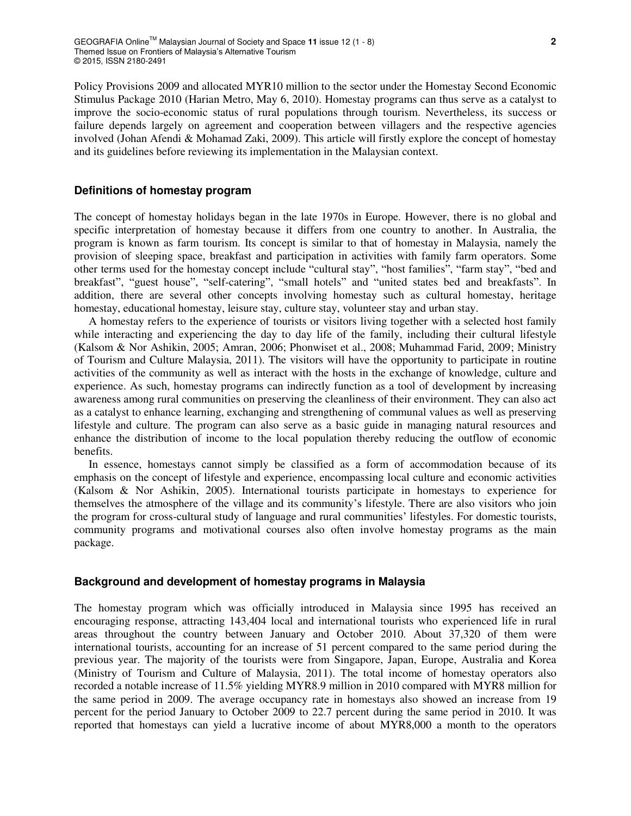Policy Provisions 2009 and allocated MYR10 million to the sector under the Homestay Second Economic Stimulus Package 2010 (Harian Metro, May 6, 2010). Homestay programs can thus serve as a catalyst to improve the socio-economic status of rural populations through tourism. Nevertheless, its success or failure depends largely on agreement and cooperation between villagers and the respective agencies involved (Johan Afendi & Mohamad Zaki, 2009). This article will firstly explore the concept of homestay and its guidelines before reviewing its implementation in the Malaysian context.

## **Definitions of homestay program**

The concept of homestay holidays began in the late 1970s in Europe. However, there is no global and specific interpretation of homestay because it differs from one country to another. In Australia, the program is known as farm tourism. Its concept is similar to that of homestay in Malaysia, namely the provision of sleeping space, breakfast and participation in activities with family farm operators. Some other terms used for the homestay concept include "cultural stay", "host families", "farm stay", "bed and breakfast", "guest house", "self-catering", "small hotels" and "united states bed and breakfasts". In addition, there are several other concepts involving homestay such as cultural homestay, heritage homestay, educational homestay, leisure stay, culture stay, volunteer stay and urban stay.

A homestay refers to the experience of tourists or visitors living together with a selected host family while interacting and experiencing the day to day life of the family, including their cultural lifestyle (Kalsom & Nor Ashikin, 2005; Amran, 2006; Phonwiset et al., 2008; Muhammad Farid, 2009; Ministry of Tourism and Culture Malaysia, 2011). The visitors will have the opportunity to participate in routine activities of the community as well as interact with the hosts in the exchange of knowledge, culture and experience. As such, homestay programs can indirectly function as a tool of development by increasing awareness among rural communities on preserving the cleanliness of their environment. They can also act as a catalyst to enhance learning, exchanging and strengthening of communal values as well as preserving lifestyle and culture. The program can also serve as a basic guide in managing natural resources and enhance the distribution of income to the local population thereby reducing the outflow of economic benefits.

In essence, homestays cannot simply be classified as a form of accommodation because of its emphasis on the concept of lifestyle and experience, encompassing local culture and economic activities (Kalsom & Nor Ashikin, 2005). International tourists participate in homestays to experience for themselves the atmosphere of the village and its community's lifestyle. There are also visitors who join the program for cross-cultural study of language and rural communities' lifestyles. For domestic tourists, community programs and motivational courses also often involve homestay programs as the main package.

#### **Background and development of homestay programs in Malaysia**

The homestay program which was officially introduced in Malaysia since 1995 has received an encouraging response, attracting 143,404 local and international tourists who experienced life in rural areas throughout the country between January and October 2010. About 37,320 of them were international tourists, accounting for an increase of 51 percent compared to the same period during the previous year. The majority of the tourists were from Singapore, Japan, Europe, Australia and Korea (Ministry of Tourism and Culture of Malaysia, 2011). The total income of homestay operators also recorded a notable increase of 11.5% yielding MYR8.9 million in 2010 compared with MYR8 million for the same period in 2009. The average occupancy rate in homestays also showed an increase from 19 percent for the period January to October 2009 to 22.7 percent during the same period in 2010. It was reported that homestays can yield a lucrative income of about MYR8,000 a month to the operators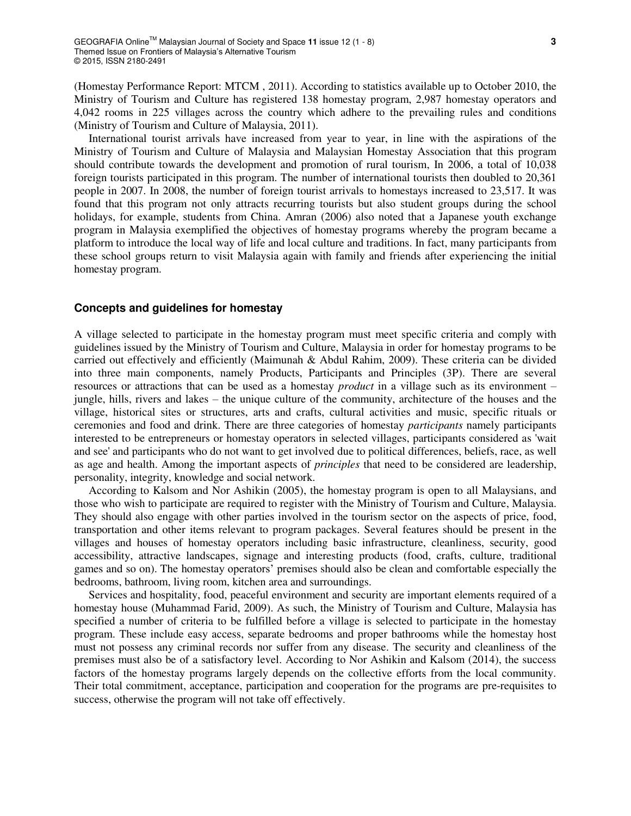(Homestay Performance Report: MTCM , 2011). According to statistics available up to October 2010, the Ministry of Tourism and Culture has registered 138 homestay program, 2,987 homestay operators and 4,042 rooms in 225 villages across the country which adhere to the prevailing rules and conditions (Ministry of Tourism and Culture of Malaysia, 2011).

International tourist arrivals have increased from year to year, in line with the aspirations of the Ministry of Tourism and Culture of Malaysia and Malaysian Homestay Association that this program should contribute towards the development and promotion of rural tourism, In 2006, a total of 10,038 foreign tourists participated in this program. The number of international tourists then doubled to 20,361 people in 2007. In 2008, the number of foreign tourist arrivals to homestays increased to 23,517. It was found that this program not only attracts recurring tourists but also student groups during the school holidays, for example, students from China. Amran (2006) also noted that a Japanese youth exchange program in Malaysia exemplified the objectives of homestay programs whereby the program became a platform to introduce the local way of life and local culture and traditions. In fact, many participants from these school groups return to visit Malaysia again with family and friends after experiencing the initial homestay program.

# **Concepts and guidelines for homestay**

A village selected to participate in the homestay program must meet specific criteria and comply with guidelines issued by the Ministry of Tourism and Culture, Malaysia in order for homestay programs to be carried out effectively and efficiently (Maimunah & Abdul Rahim, 2009). These criteria can be divided into three main components, namely Products, Participants and Principles (3P). There are several resources or attractions that can be used as a homestay *product* in a village such as its environment – jungle, hills, rivers and lakes – the unique culture of the community, architecture of the houses and the village, historical sites or structures, arts and crafts, cultural activities and music, specific rituals or ceremonies and food and drink. There are three categories of homestay *participants* namely participants interested to be entrepreneurs or homestay operators in selected villages, participants considered as 'wait and see' and participants who do not want to get involved due to political differences, beliefs, race, as well as age and health. Among the important aspects of *principles* that need to be considered are leadership, personality, integrity, knowledge and social network.

According to Kalsom and Nor Ashikin (2005), the homestay program is open to all Malaysians, and those who wish to participate are required to register with the Ministry of Tourism and Culture, Malaysia. They should also engage with other parties involved in the tourism sector on the aspects of price, food, transportation and other items relevant to program packages. Several features should be present in the villages and houses of homestay operators including basic infrastructure, cleanliness, security, good accessibility, attractive landscapes, signage and interesting products (food, crafts, culture, traditional games and so on). The homestay operators' premises should also be clean and comfortable especially the bedrooms, bathroom, living room, kitchen area and surroundings.

Services and hospitality, food, peaceful environment and security are important elements required of a homestay house (Muhammad Farid, 2009). As such, the Ministry of Tourism and Culture, Malaysia has specified a number of criteria to be fulfilled before a village is selected to participate in the homestay program. These include easy access, separate bedrooms and proper bathrooms while the homestay host must not possess any criminal records nor suffer from any disease. The security and cleanliness of the premises must also be of a satisfactory level. According to Nor Ashikin and Kalsom (2014), the success factors of the homestay programs largely depends on the collective efforts from the local community. Their total commitment, acceptance, participation and cooperation for the programs are pre-requisites to success, otherwise the program will not take off effectively.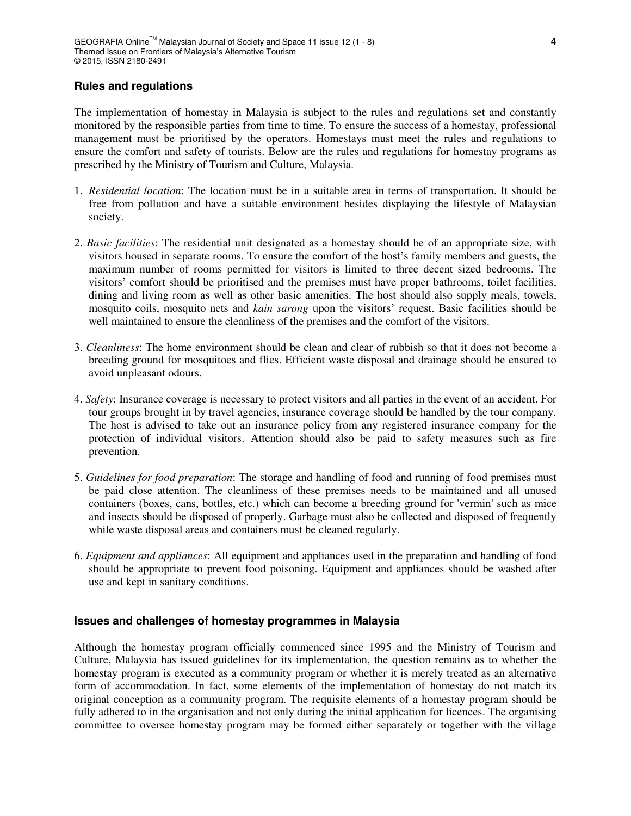# **Rules and regulations**

The implementation of homestay in Malaysia is subject to the rules and regulations set and constantly monitored by the responsible parties from time to time. To ensure the success of a homestay, professional management must be prioritised by the operators. Homestays must meet the rules and regulations to ensure the comfort and safety of tourists. Below are the rules and regulations for homestay programs as prescribed by the Ministry of Tourism and Culture, Malaysia.

- 1. *Residential location*: The location must be in a suitable area in terms of transportation. It should be free from pollution and have a suitable environment besides displaying the lifestyle of Malaysian society.
- 2. *Basic facilities*: The residential unit designated as a homestay should be of an appropriate size, with visitors housed in separate rooms. To ensure the comfort of the host's family members and guests, the maximum number of rooms permitted for visitors is limited to three decent sized bedrooms. The visitors' comfort should be prioritised and the premises must have proper bathrooms, toilet facilities, dining and living room as well as other basic amenities. The host should also supply meals, towels, mosquito coils, mosquito nets and *kain sarong* upon the visitors' request. Basic facilities should be well maintained to ensure the cleanliness of the premises and the comfort of the visitors.
- 3. *Cleanliness*: The home environment should be clean and clear of rubbish so that it does not become a breeding ground for mosquitoes and flies. Efficient waste disposal and drainage should be ensured to avoid unpleasant odours.
- 4. *Safety*: Insurance coverage is necessary to protect visitors and all parties in the event of an accident. For tour groups brought in by travel agencies, insurance coverage should be handled by the tour company. The host is advised to take out an insurance policy from any registered insurance company for the protection of individual visitors. Attention should also be paid to safety measures such as fire prevention.
- 5. *Guidelines for food preparation*: The storage and handling of food and running of food premises must be paid close attention. The cleanliness of these premises needs to be maintained and all unused containers (boxes, cans, bottles, etc.) which can become a breeding ground for 'vermin' such as mice and insects should be disposed of properly. Garbage must also be collected and disposed of frequently while waste disposal areas and containers must be cleaned regularly.
- 6. *Equipment and appliances*: All equipment and appliances used in the preparation and handling of food should be appropriate to prevent food poisoning. Equipment and appliances should be washed after use and kept in sanitary conditions.

## **Issues and challenges of homestay programmes in Malaysia**

Although the homestay program officially commenced since 1995 and the Ministry of Tourism and Culture, Malaysia has issued guidelines for its implementation, the question remains as to whether the homestay program is executed as a community program or whether it is merely treated as an alternative form of accommodation. In fact, some elements of the implementation of homestay do not match its original conception as a community program. The requisite elements of a homestay program should be fully adhered to in the organisation and not only during the initial application for licences. The organising committee to oversee homestay program may be formed either separately or together with the village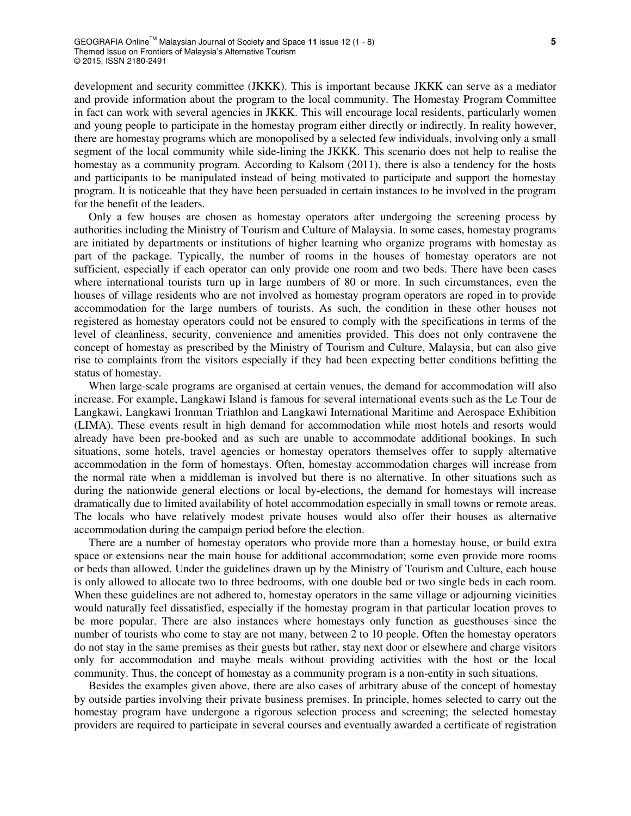development and security committee (JKKK). This is important because JKKK can serve as a mediator and provide information about the program to the local community. The Homestay Program Committee in fact can work with several agencies in JKKK. This will encourage local residents, particularly women and young people to participate in the homestay program either directly or indirectly. In reality however, there are homestay programs which are monopolised by a selected few individuals, involving only a small segment of the local community while side-lining the JKKK. This scenario does not help to realise the homestay as a community program. According to Kalsom (2011), there is also a tendency for the hosts and participants to be manipulated instead of being motivated to participate and support the homestay program. It is noticeable that they have been persuaded in certain instances to be involved in the program for the benefit of the leaders.

Only a few houses are chosen as homestay operators after undergoing the screening process by authorities including the Ministry of Tourism and Culture of Malaysia. In some cases, homestay programs are initiated by departments or institutions of higher learning who organize programs with homestay as part of the package. Typically, the number of rooms in the houses of homestay operators are not sufficient, especially if each operator can only provide one room and two beds. There have been cases where international tourists turn up in large numbers of 80 or more. In such circumstances, even the houses of village residents who are not involved as homestay program operators are roped in to provide accommodation for the large numbers of tourists. As such, the condition in these other houses not registered as homestay operators could not be ensured to comply with the specifications in terms of the level of cleanliness, security, convenience and amenities provided. This does not only contravene the concept of homestay as prescribed by the Ministry of Tourism and Culture, Malaysia, but can also give rise to complaints from the visitors especially if they had been expecting better conditions befitting the status of homestay.

When large-scale programs are organised at certain venues, the demand for accommodation will also increase. For example, Langkawi Island is famous for several international events such as the Le Tour de Langkawi, Langkawi Ironman Triathlon and Langkawi International Maritime and Aerospace Exhibition (LIMA). These events result in high demand for accommodation while most hotels and resorts would already have been pre-booked and as such are unable to accommodate additional bookings. In such situations, some hotels, travel agencies or homestay operators themselves offer to supply alternative accommodation in the form of homestays. Often, homestay accommodation charges will increase from the normal rate when a middleman is involved but there is no alternative. In other situations such as during the nationwide general elections or local by-elections, the demand for homestays will increase dramatically due to limited availability of hotel accommodation especially in small towns or remote areas. The locals who have relatively modest private houses would also offer their houses as alternative accommodation during the campaign period before the election.

There are a number of homestay operators who provide more than a homestay house, or build extra space or extensions near the main house for additional accommodation; some even provide more rooms or beds than allowed. Under the guidelines drawn up by the Ministry of Tourism and Culture, each house is only allowed to allocate two to three bedrooms, with one double bed or two single beds in each room. When these guidelines are not adhered to, homestay operators in the same village or adjourning vicinities would naturally feel dissatisfied, especially if the homestay program in that particular location proves to be more popular. There are also instances where homestays only function as guesthouses since the number of tourists who come to stay are not many, between 2 to 10 people. Often the homestay operators do not stay in the same premises as their guests but rather, stay next door or elsewhere and charge visitors only for accommodation and maybe meals without providing activities with the host or the local community. Thus, the concept of homestay as a community program is a non-entity in such situations.

Besides the examples given above, there are also cases of arbitrary abuse of the concept of homestay by outside parties involving their private business premises. In principle, homes selected to carry out the homestay program have undergone a rigorous selection process and screening; the selected homestay providers are required to participate in several courses and eventually awarded a certificate of registration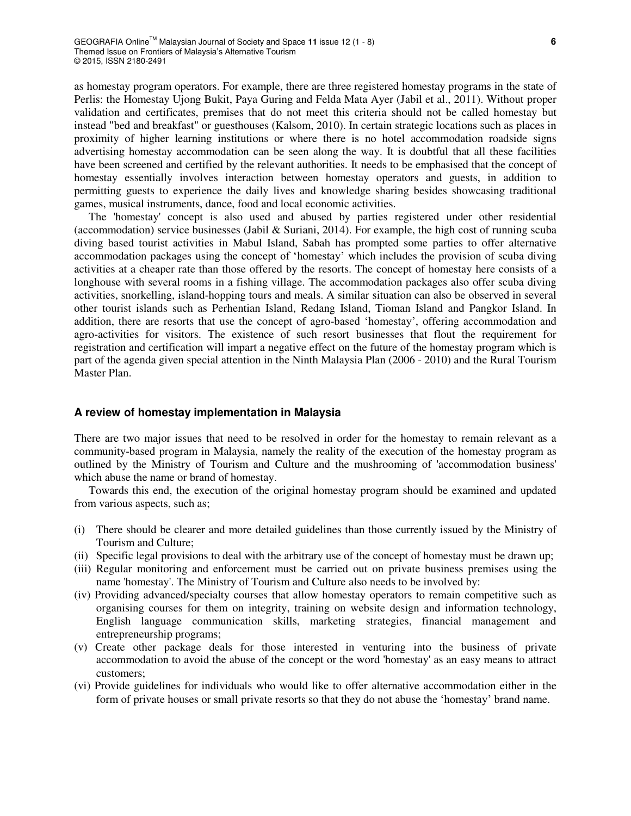as homestay program operators. For example, there are three registered homestay programs in the state of Perlis: the Homestay Ujong Bukit, Paya Guring and Felda Mata Ayer (Jabil et al., 2011). Without proper validation and certificates, premises that do not meet this criteria should not be called homestay but instead "bed and breakfast" or guesthouses (Kalsom, 2010). In certain strategic locations such as places in proximity of higher learning institutions or where there is no hotel accommodation roadside signs advertising homestay accommodation can be seen along the way. It is doubtful that all these facilities have been screened and certified by the relevant authorities. It needs to be emphasised that the concept of homestay essentially involves interaction between homestay operators and guests, in addition to permitting guests to experience the daily lives and knowledge sharing besides showcasing traditional games, musical instruments, dance, food and local economic activities.

The 'homestay' concept is also used and abused by parties registered under other residential (accommodation) service businesses (Jabil & Suriani, 2014). For example, the high cost of running scuba diving based tourist activities in Mabul Island, Sabah has prompted some parties to offer alternative accommodation packages using the concept of 'homestay' which includes the provision of scuba diving activities at a cheaper rate than those offered by the resorts. The concept of homestay here consists of a longhouse with several rooms in a fishing village. The accommodation packages also offer scuba diving activities, snorkelling, island-hopping tours and meals. A similar situation can also be observed in several other tourist islands such as Perhentian Island, Redang Island, Tioman Island and Pangkor Island. In addition, there are resorts that use the concept of agro-based 'homestay', offering accommodation and agro-activities for visitors. The existence of such resort businesses that flout the requirement for registration and certification will impart a negative effect on the future of the homestay program which is part of the agenda given special attention in the Ninth Malaysia Plan (2006 - 2010) and the Rural Tourism Master Plan.

### **A review of homestay implementation in Malaysia**

There are two major issues that need to be resolved in order for the homestay to remain relevant as a community-based program in Malaysia, namely the reality of the execution of the homestay program as outlined by the Ministry of Tourism and Culture and the mushrooming of 'accommodation business' which abuse the name or brand of homestay.

Towards this end, the execution of the original homestay program should be examined and updated from various aspects, such as;

- (i) There should be clearer and more detailed guidelines than those currently issued by the Ministry of Tourism and Culture;
- (ii) Specific legal provisions to deal with the arbitrary use of the concept of homestay must be drawn up;
- (iii) Regular monitoring and enforcement must be carried out on private business premises using the name 'homestay'. The Ministry of Tourism and Culture also needs to be involved by:
- (iv) Providing advanced/specialty courses that allow homestay operators to remain competitive such as organising courses for them on integrity, training on website design and information technology, English language communication skills, marketing strategies, financial management and entrepreneurship programs;
- (v) Create other package deals for those interested in venturing into the business of private accommodation to avoid the abuse of the concept or the word 'homestay' as an easy means to attract customers;
- (vi) Provide guidelines for individuals who would like to offer alternative accommodation either in the form of private houses or small private resorts so that they do not abuse the 'homestay' brand name.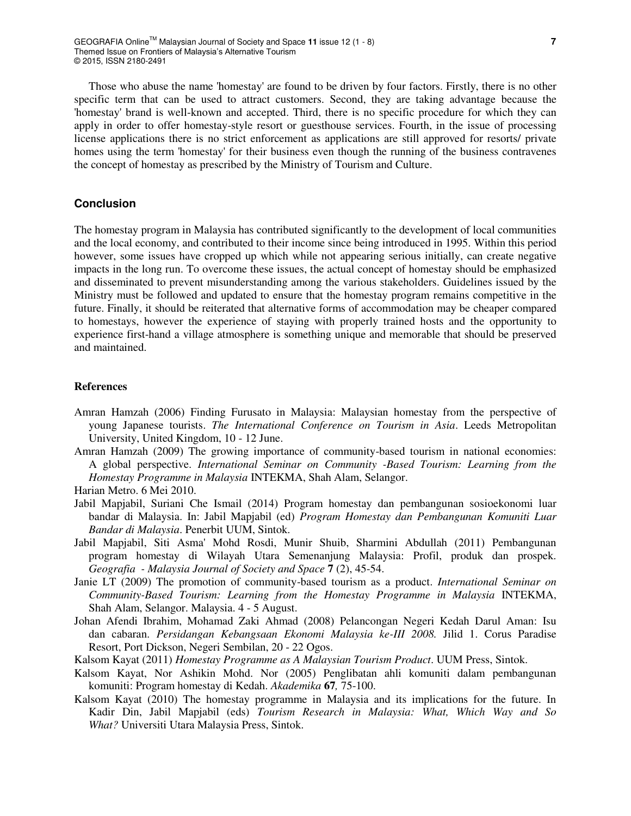Those who abuse the name 'homestay' are found to be driven by four factors. Firstly, there is no other specific term that can be used to attract customers. Second, they are taking advantage because the 'homestay' brand is well-known and accepted. Third, there is no specific procedure for which they can apply in order to offer homestay-style resort or guesthouse services. Fourth, in the issue of processing license applications there is no strict enforcement as applications are still approved for resorts/ private homes using the term 'homestay' for their business even though the running of the business contravenes the concept of homestay as prescribed by the Ministry of Tourism and Culture.

# **Conclusion**

The homestay program in Malaysia has contributed significantly to the development of local communities and the local economy, and contributed to their income since being introduced in 1995. Within this period however, some issues have cropped up which while not appearing serious initially, can create negative impacts in the long run. To overcome these issues, the actual concept of homestay should be emphasized and disseminated to prevent misunderstanding among the various stakeholders. Guidelines issued by the Ministry must be followed and updated to ensure that the homestay program remains competitive in the future. Finally, it should be reiterated that alternative forms of accommodation may be cheaper compared to homestays, however the experience of staying with properly trained hosts and the opportunity to experience first-hand a village atmosphere is something unique and memorable that should be preserved and maintained.

### **References**

- Amran Hamzah (2006) Finding Furusato in Malaysia: Malaysian homestay from the perspective of young Japanese tourists. *The International Conference on Tourism in Asia*. Leeds Metropolitan University, United Kingdom, 10 - 12 June.
- Amran Hamzah (2009) The growing importance of community-based tourism in national economies: A global perspective. *International Seminar on Community -Based Tourism: Learning from the Homestay Programme in Malaysia* INTEKMA, Shah Alam, Selangor.
- Harian Metro. 6 Mei 2010.
- Jabil Mapjabil, Suriani Che Ismail (2014) Program homestay dan pembangunan sosioekonomi luar bandar di Malaysia. In: Jabil Mapjabil (ed) *Program Homestay dan Pembangunan Komuniti Luar Bandar di Malaysia*. Penerbit UUM, Sintok.
- Jabil Mapjabil, Siti Asma' Mohd Rosdi, Munir Shuib, Sharmini Abdullah (2011) Pembangunan program homestay di Wilayah Utara Semenanjung Malaysia: Profil, produk dan prospek. *Geografia - Malaysia Journal of Society and Space* **7** (2), 45-54.
- Janie LT (2009) The promotion of community-based tourism as a product. *International Seminar on Community-Based Tourism: Learning from the Homestay Programme in Malaysia* INTEKMA, Shah Alam, Selangor. Malaysia. 4 - 5 August.
- Johan Afendi Ibrahim, Mohamad Zaki Ahmad (2008) Pelancongan Negeri Kedah Darul Aman: Isu dan cabaran. *Persidangan Kebangsaan Ekonomi Malaysia ke-III 2008.* Jilid 1. Corus Paradise Resort, Port Dickson, Negeri Sembilan, 20 - 22 Ogos.
- Kalsom Kayat (2011) *Homestay Programme as A Malaysian Tourism Product*. UUM Press, Sintok.
- Kalsom Kayat, Nor Ashikin Mohd. Nor (2005) Penglibatan ahli komuniti dalam pembangunan komuniti: Program homestay di Kedah. *Akademika* **67***,* 75-100.
- Kalsom Kayat (2010) The homestay programme in Malaysia and its implications for the future. In Kadir Din, Jabil Mapjabil (eds) *Tourism Research in Malaysia: What, Which Way and So What?* Universiti Utara Malaysia Press, Sintok.